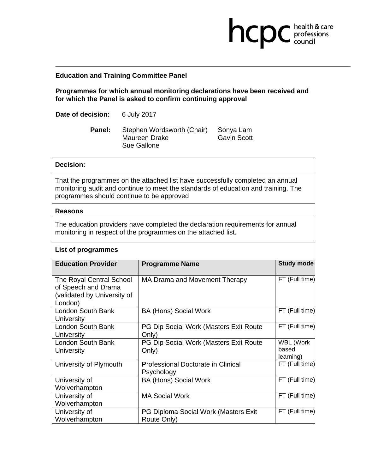## **Education and Training Committee Panel**

**Programmes for which annual monitoring declarations have been received and for which the Panel is asked to confirm continuing approval** 

**health & care** 

**Date of decision:** 6 July 2017

Panel: Stephen Wordsworth (Chair) Sonya Lam Maureen Drake Gavin Scott Sue Gallone

## **Decision:**

That the programmes on the attached list have successfully completed an annual monitoring audit and continue to meet the standards of education and training. The programmes should continue to be approved

## **Reasons**

The education providers have completed the declaration requirements for annual monitoring in respect of the programmes on the attached list.

## **List of programmes**

| <b>Education Provider</b>                                                                 | <b>Programme Name</b>                                  | <b>Study mode</b>                      |
|-------------------------------------------------------------------------------------------|--------------------------------------------------------|----------------------------------------|
| The Royal Central School<br>of Speech and Drama<br>(validated by University of<br>London) | MA Drama and Movement Therapy                          | FT (Full time)                         |
| London South Bank<br>University                                                           | <b>BA (Hons) Social Work</b>                           | FT (Full time)                         |
| London South Bank<br><b>University</b>                                                    | <b>PG Dip Social Work (Masters Exit Route</b><br>Only) | FT (Full time)                         |
| London South Bank<br>University                                                           | PG Dip Social Work (Masters Exit Route<br>Only)        | <b>WBL (Work</b><br>based<br>learning) |
| University of Plymouth                                                                    | Professional Doctorate in Clinical<br>Psychology       | FT (Full time)                         |
| University of<br>Wolverhampton                                                            | <b>BA (Hons) Social Work</b>                           | FT (Full time)                         |
| University of<br>Wolverhampton                                                            | <b>MA Social Work</b>                                  | FT (Full time)                         |
| University of<br>Wolverhampton                                                            | PG Diploma Social Work (Masters Exit<br>Route Only)    | FT (Full time)                         |